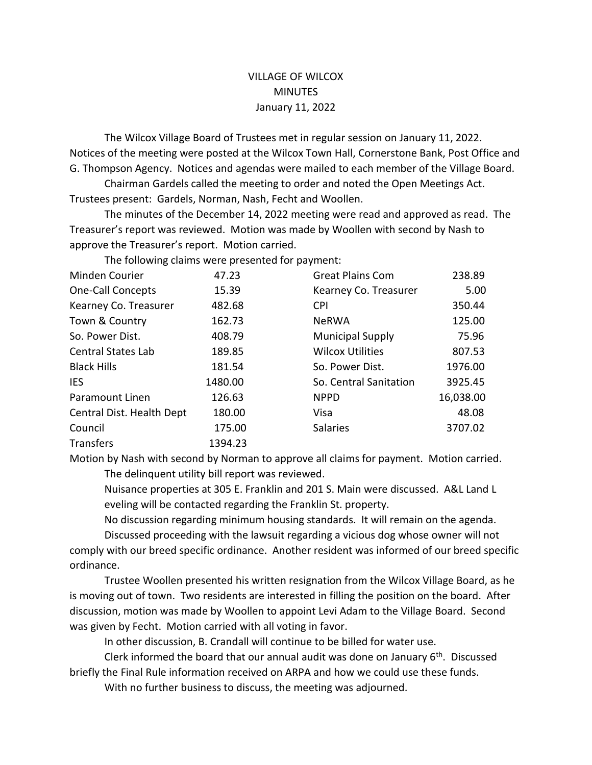## VILLAGE OF WILCOX **MINUTES** January 11, 2022

The Wilcox Village Board of Trustees met in regular session on January 11, 2022. Notices of the meeting were posted at the Wilcox Town Hall, Cornerstone Bank, Post Office and G. Thompson Agency. Notices and agendas were mailed to each member of the Village Board.

Chairman Gardels called the meeting to order and noted the Open Meetings Act. Trustees present: Gardels, Norman, Nash, Fecht and Woollen.

The minutes of the December 14, 2022 meeting were read and approved as read. The Treasurer's report was reviewed. Motion was made by Woollen with second by Nash to approve the Treasurer's report. Motion carried.

The following claims were presented for payment:

| Minden Courier            | 47.23   | <b>Great Plains Com</b> | 238.89    |
|---------------------------|---------|-------------------------|-----------|
| <b>One-Call Concepts</b>  | 15.39   | Kearney Co. Treasurer   | 5.00      |
| Kearney Co. Treasurer     | 482.68  | <b>CPI</b>              | 350.44    |
| Town & Country            | 162.73  | <b>NeRWA</b>            | 125.00    |
| So. Power Dist.           | 408.79  | <b>Municipal Supply</b> | 75.96     |
| <b>Central States Lab</b> | 189.85  | <b>Wilcox Utilities</b> | 807.53    |
| <b>Black Hills</b>        | 181.54  | So. Power Dist.         | 1976.00   |
| <b>IES</b>                | 1480.00 | So. Central Sanitation  | 3925.45   |
| Paramount Linen           | 126.63  | <b>NPPD</b>             | 16,038.00 |
| Central Dist. Health Dept | 180.00  | Visa                    | 48.08     |
| Council                   | 175.00  | <b>Salaries</b>         | 3707.02   |
| <b>Transfers</b>          | 1394.23 |                         |           |

Motion by Nash with second by Norman to approve all claims for payment. Motion carried. The delinquent utility bill report was reviewed.

Nuisance properties at 305 E. Franklin and 201 S. Main were discussed. A&L Land L eveling will be contacted regarding the Franklin St. property.

No discussion regarding minimum housing standards. It will remain on the agenda.

Discussed proceeding with the lawsuit regarding a vicious dog whose owner will not comply with our breed specific ordinance. Another resident was informed of our breed specific ordinance.

Trustee Woollen presented his written resignation from the Wilcox Village Board, as he is moving out of town. Two residents are interested in filling the position on the board. After discussion, motion was made by Woollen to appoint Levi Adam to the Village Board. Second was given by Fecht. Motion carried with all voting in favor.

In other discussion, B. Crandall will continue to be billed for water use.

Clerk informed the board that our annual audit was done on January  $6<sup>th</sup>$ . Discussed briefly the Final Rule information received on ARPA and how we could use these funds. With no further business to discuss, the meeting was adjourned.